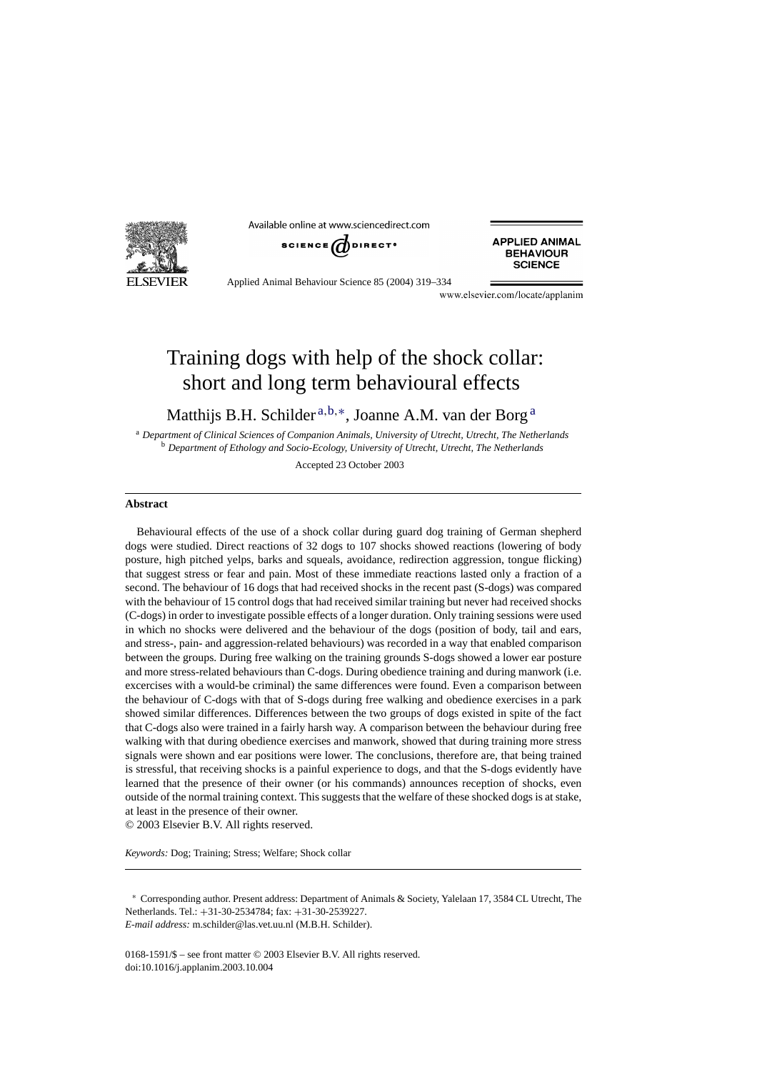**ELSEVIER** 

Available online at www.sciencedirect.com



**APPLIED ANIMAL BEHAVIOUR SCIENCE** 

Applied Animal Behaviour Science 85 (2004) 319–334

www.elsevier.com/locate/applanim

# Training dogs with help of the shock collar: short and long term behavioural effects

Matthijs B.H. Schilder  $a,b,*$ , Joanne A.M. van der Borg  $a$ 

<sup>a</sup> *Department of Clinical Sciences of Companion Animals, University of Utrecht, Utrecht, The Netherlands* <sup>b</sup> *Department of Ethology and Socio-Ecology, University of Utrecht, Utrecht, The Netherlands*

Accepted 23 October 2003

## **Abstract**

Behavioural effects of the use of a shock collar during guard dog training of German shepherd dogs were studied. Direct reactions of 32 dogs to 107 shocks showed reactions (lowering of body posture, high pitched yelps, barks and squeals, avoidance, redirection aggression, tongue flicking) that suggest stress or fear and pain. Most of these immediate reactions lasted only a fraction of a second. The behaviour of 16 dogs that had received shocks in the recent past (S-dogs) was compared with the behaviour of 15 control dogs that had received similar training but never had received shocks (C-dogs) in order to investigate possible effects of a longer duration. Only training sessions were used in which no shocks were delivered and the behaviour of the dogs (position of body, tail and ears, and stress-, pain- and aggression-related behaviours) was recorded in a way that enabled comparison between the groups. During free walking on the training grounds S-dogs showed a lower ear posture and more stress-related behaviours than C-dogs. During obedience training and during manwork (i.e. excercises with a would-be criminal) the same differences were found. Even a comparison between the behaviour of C-dogs with that of S-dogs during free walking and obedience exercises in a park showed similar differences. Differences between the two groups of dogs existed in spite of the fact that C-dogs also were trained in a fairly harsh way. A comparison between the behaviour during free walking with that during obedience exercises and manwork, showed that during training more stress signals were shown and ear positions were lower. The conclusions, therefore are, that being trained is stressful, that receiving shocks is a painful experience to dogs, and that the S-dogs evidently have learned that the presence of their owner (or his commands) announces reception of shocks, even outside of the normal training context. This suggests that the welfare of these shocked dogs is at stake, at least in the presence of their owner.

© 2003 Elsevier B.V. All rights reserved.

*Keywords:* Dog; Training; Stress; Welfare; Shock collar

0168-1591/\$ – see front matter © 2003 Elsevier B.V. All rights reserved. doi:10.1016/j.applanim.2003.10.004

<sup>∗</sup> Corresponding author. Present address: Department of Animals & Society, Yalelaan 17, 3584 CL Utrecht, The Netherlands. Tel.: +31-30-2534784; fax: +31-30-2539227. *E-mail address:* m.schilder@las.vet.uu.nl (M.B.H. Schilder).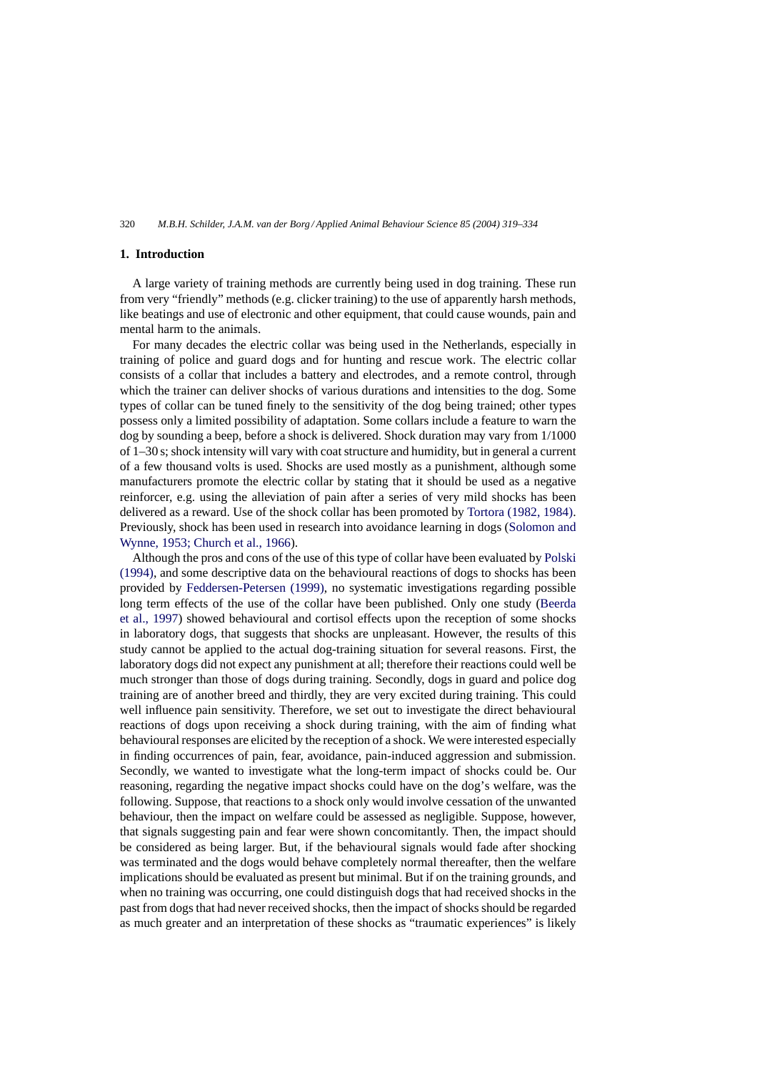# **1. Introduction**

A large variety of training methods are currently being used in dog training. These run from very "friendly" methods (e.g. clicker training) to the use of apparently harsh methods, like beatings and use of electronic and other equipment, that could cause wounds, pain and mental harm to the animals.

For many decades the electric collar was being used in the Netherlands, especially in training of police and guard dogs and for hunting and rescue work. The electric collar consists of a collar that includes a battery and electrodes, and a remote control, through which the trainer can deliver shocks of various durations and intensities to the dog. Some types of collar can be tuned finely to the sensitivity of the dog being trained; other types possess only a limited possibility of adaptation. Some collars include a feature to warn the dog by sounding a beep, before a shock is delivered. Shock duration may vary from 1/1000 of 1–30 s; shock intensity will vary with coat structure and humidity, but in general a current of a few thousand volts is used. Shocks are used mostly as a punishment, although some manufacturers promote the electric collar by stating that it should be used as a negative reinforcer, e.g. using the alleviation of pain after a series of very mild shocks has been delivered as a reward. Use of the shock collar has been promoted by [Tortora \(1982, 1984\).](#page-15-0) Previously, shock has been used in research into avoidance learning in dogs [\(Solomon and](#page-15-0) [Wynne, 1953; Church et al., 1966\).](#page-15-0)

Although the pros and cons of the use of this type of collar have been evaluated by [Polski](#page-15-0) [\(1994\), a](#page-15-0)nd some descriptive data on the behavioural reactions of dogs to shocks has been provided by [Feddersen-Petersen \(1999\),](#page-15-0) no systematic investigations regarding possible long term effects of the use of the collar have been published. Only one study ([Beerda](#page-15-0) [et al., 1997\)](#page-15-0) showed behavioural and cortisol effects upon the reception of some shocks in laboratory dogs, that suggests that shocks are unpleasant. However, the results of this study cannot be applied to the actual dog-training situation for several reasons. First, the laboratory dogs did not expect any punishment at all; therefore their reactions could well be much stronger than those of dogs during training. Secondly, dogs in guard and police dog training are of another breed and thirdly, they are very excited during training. This could well influence pain sensitivity. Therefore, we set out to investigate the direct behavioural reactions of dogs upon receiving a shock during training, with the aim of finding what behavioural responses are elicited by the reception of a shock. We were interested especially in finding occurrences of pain, fear, avoidance, pain-induced aggression and submission. Secondly, we wanted to investigate what the long-term impact of shocks could be. Our reasoning, regarding the negative impact shocks could have on the dog's welfare, was the following. Suppose, that reactions to a shock only would involve cessation of the unwanted behaviour, then the impact on welfare could be assessed as negligible. Suppose, however, that signals suggesting pain and fear were shown concomitantly. Then, the impact should be considered as being larger. But, if the behavioural signals would fade after shocking was terminated and the dogs would behave completely normal thereafter, then the welfare implications should be evaluated as present but minimal. But if on the training grounds, and when no training was occurring, one could distinguish dogs that had received shocks in the past from dogs that had never received shocks, then the impact of shocks should be regarded as much greater and an interpretation of these shocks as "traumatic experiences" is likely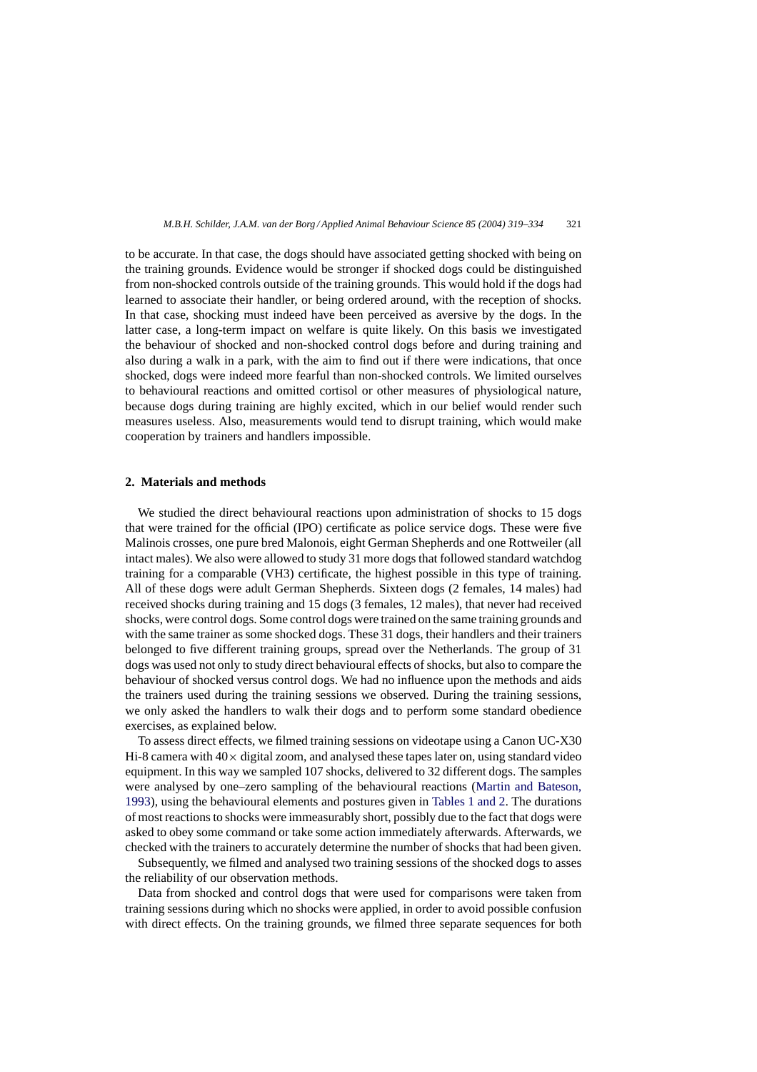to be accurate. In that case, the dogs should have associated getting shocked with being on the training grounds. Evidence would be stronger if shocked dogs could be distinguished from non-shocked controls outside of the training grounds. This would hold if the dogs had learned to associate their handler, or being ordered around, with the reception of shocks. In that case, shocking must indeed have been perceived as aversive by the dogs. In the latter case, a long-term impact on welfare is quite likely. On this basis we investigated the behaviour of shocked and non-shocked control dogs before and during training and also during a walk in a park, with the aim to find out if there were indications, that once shocked, dogs were indeed more fearful than non-shocked controls. We limited ourselves to behavioural reactions and omitted cortisol or other measures of physiological nature, because dogs during training are highly excited, which in our belief would render such measures useless. Also, measurements would tend to disrupt training, which would make cooperation by trainers and handlers impossible.

# **2. Materials and methods**

We studied the direct behavioural reactions upon administration of shocks to 15 dogs that were trained for the official (IPO) certificate as police service dogs. These were five Malinois crosses, one pure bred Malonois, eight German Shepherds and one Rottweiler (all intact males). We also were allowed to study 31 more dogs that followed standard watchdog training for a comparable (VH3) certificate, the highest possible in this type of training. All of these dogs were adult German Shepherds. Sixteen dogs (2 females, 14 males) had received shocks during training and 15 dogs (3 females, 12 males), that never had received shocks, were control dogs. Some control dogs were trained on the same training grounds and with the same trainer as some shocked dogs. These 31 dogs, their handlers and their trainers belonged to five different training groups, spread over the Netherlands. The group of 31 dogs was used not only to study direct behavioural effects of shocks, but also to compare the behaviour of shocked versus control dogs. We had no influence upon the methods and aids the trainers used during the training sessions we observed. During the training sessions, we only asked the handlers to walk their dogs and to perform some standard obedience exercises, as explained below.

To assess direct effects, we filmed training sessions on videotape using a Canon UC-X30 Hi-8 camera with  $40\times$  digital zoom, and analysed these tapes later on, using standard video equipment. In this way we sampled 107 shocks, delivered to 32 different dogs. The samples were analysed by one–zero sampling of the behavioural reactions [\(Martin and Bateson,](#page-15-0) [1993\),](#page-15-0) using the behavioural elements and postures given in [Tables 1 and 2.](#page-3-0) The durations of most reactions to shocks were immeasurably short, possibly due to the fact that dogs were asked to obey some command or take some action immediately afterwards. Afterwards, we checked with the trainers to accurately determine the number of shocks that had been given.

Subsequently, we filmed and analysed two training sessions of the shocked dogs to asses the reliability of our observation methods.

Data from shocked and control dogs that were used for comparisons were taken from training sessions during which no shocks were applied, in order to avoid possible confusion with direct effects. On the training grounds, we filmed three separate sequences for both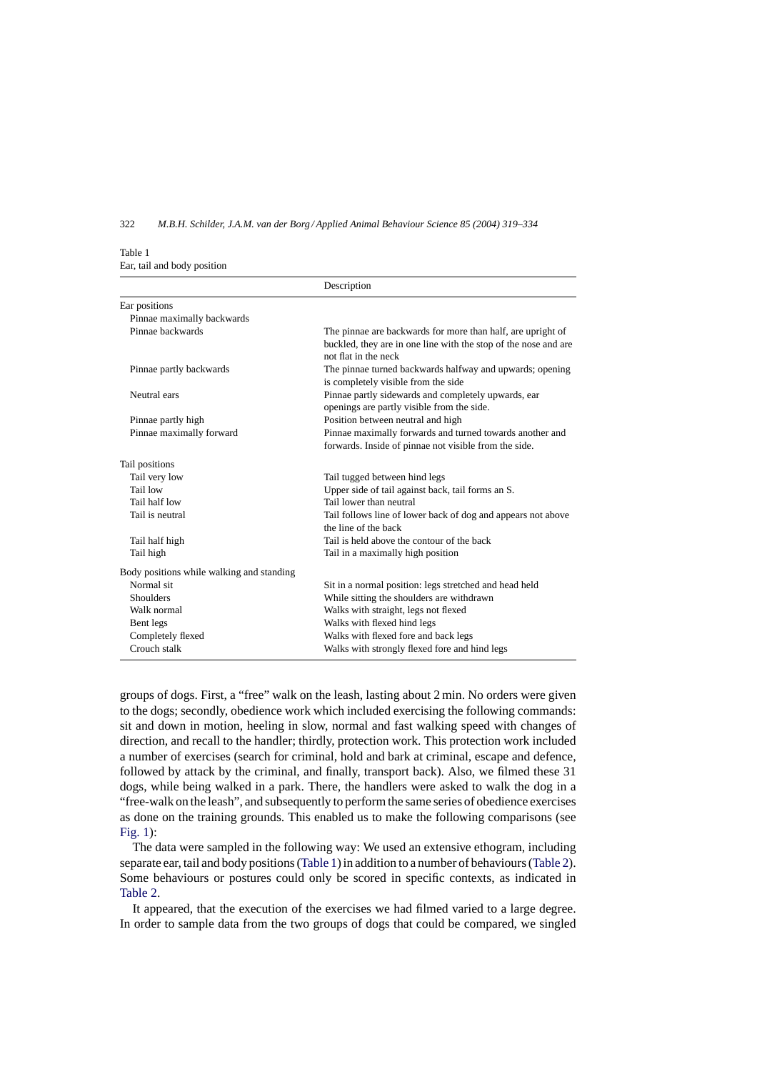| Eal, tail and body position |                        |  |
|-----------------------------|------------------------|--|
|                             | Description            |  |
| Ear positions               |                        |  |
| Pinnae maximally backwards  |                        |  |
| Pinnae backwards            | The pinnae are backw   |  |
|                             | buckled, they are in o |  |
|                             | not flat in the neck   |  |
| Pinnae partly backwards     | The pinnae turned ba   |  |
|                             | is completely visible  |  |
| Neutral ears                | Pinnae partly sidewar  |  |
|                             | openings are partly vi |  |
| Pinnae partly high          | Position between neu   |  |
| Pinnae maximally forward    | Pinnae maximally for   |  |

# <span id="page-3-0"></span>Table 1 Ear, tail and body position

| Pinnae backwards                          | The pinnae are backwards for more than half, are upright of<br>buckled, they are in one line with the stop of the nose and are<br>not flat in the neck |  |
|-------------------------------------------|--------------------------------------------------------------------------------------------------------------------------------------------------------|--|
| Pinnae partly backwards                   | The pinnae turned backwards halfway and upwards; opening<br>is completely visible from the side                                                        |  |
| Neutral ears                              | Pinnae partly sidewards and completely upwards, ear<br>openings are partly visible from the side.                                                      |  |
| Pinnae partly high                        | Position between neutral and high                                                                                                                      |  |
| Pinnae maximally forward                  | Pinnae maximally forwards and turned towards another and<br>forwards. Inside of pinnae not visible from the side.                                      |  |
| Tail positions                            |                                                                                                                                                        |  |
| Tail very low                             | Tail tugged between hind legs                                                                                                                          |  |
| Tail low                                  | Upper side of tail against back, tail forms an S.                                                                                                      |  |
| Tail half low                             | Tail lower than neutral                                                                                                                                |  |
| Tail is neutral                           | Tail follows line of lower back of dog and appears not above<br>the line of the back                                                                   |  |
| Tail half high                            | Tail is held above the contour of the back                                                                                                             |  |
| Tail high                                 | Tail in a maximally high position                                                                                                                      |  |
| Body positions while walking and standing |                                                                                                                                                        |  |
| Normal sit                                | Sit in a normal position: legs stretched and head held                                                                                                 |  |
| Shoulders                                 | While sitting the shoulders are withdrawn                                                                                                              |  |
| Walk normal                               | Walks with straight, legs not flexed                                                                                                                   |  |
| Bent legs                                 | Walks with flexed hind legs                                                                                                                            |  |
| Completely flexed                         | Walks with flexed fore and back legs                                                                                                                   |  |
| Crouch stalk                              | Walks with strongly flexed fore and hind legs                                                                                                          |  |

groups of dogs. First, a "free" walk on the leash, lasting about 2 min. No orders were given to the dogs; secondly, obedience work which included exercising the following commands: sit and down in motion, heeling in slow, normal and fast walking speed with changes of direction, and recall to the handler; thirdly, protection work. This protection work included a number of exercises (search for criminal, hold and bark at criminal, escape and defence, followed by attack by the criminal, and finally, transport back). Also, we filmed these 31 dogs, while being walked in a park. There, the handlers were asked to walk the dog in a "free-walk on the leash", and subsequently to perform the same series of obedience exercises as done on the training grounds. This enabled us to make the following comparisons (see [Fig. 1\):](#page-5-0)

The data were sampled in the following way: We used an extensive ethogram, including separate ear, tail and body positions (Table 1) in addition to a number of behaviours ([Table 2\).](#page-4-0) Some behaviours or postures could only be scored in specific contexts, as indicated in [Table 2.](#page-4-0)

It appeared, that the execution of the exercises we had filmed varied to a large degree. In order to sample data from the two groups of dogs that could be compared, we singled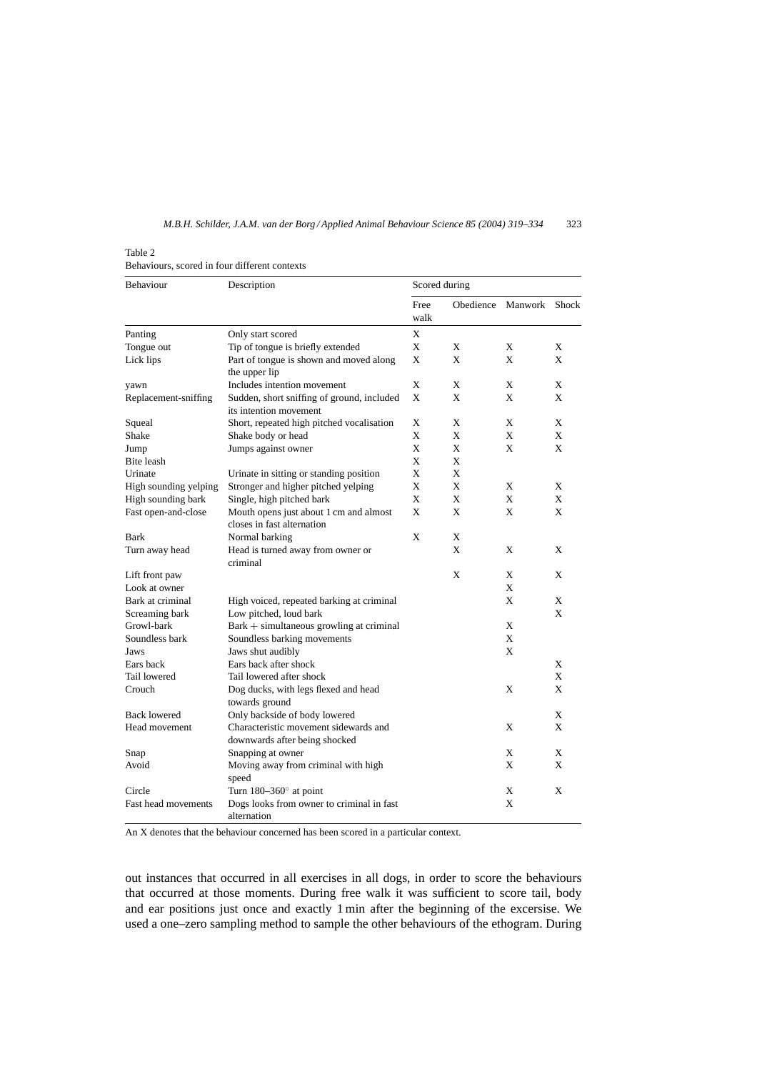| Behaviour             | Description                                                            | Scored during |           |         |       |
|-----------------------|------------------------------------------------------------------------|---------------|-----------|---------|-------|
|                       |                                                                        | Free<br>walk  | Obedience | Manwork | Shock |
| Panting               | Only start scored                                                      | X             |           |         |       |
| Tongue out            | Tip of tongue is briefly extended                                      | X             | X         | X       | X     |
| Lick lips             | Part of tongue is shown and moved along<br>the upper lip               | X             | X         | X       | X     |
| yawn                  | Includes intention movement                                            | X             | X         | Χ       | X     |
| Replacement-sniffing  | Sudden, short sniffing of ground, included<br>its intention movement   | X             | X         | X       | X     |
| Squeal                | Short, repeated high pitched vocalisation                              | X             | X         | X       | X     |
| Shake                 | Shake body or head                                                     | X             | X         | X       | X     |
| Jump                  | Jumps against owner                                                    | X             | X         | X       | X     |
| Bite leash            |                                                                        | X             | X         |         |       |
| Urinate               | Urinate in sitting or standing position                                | X             | X         |         |       |
| High sounding yelping | Stronger and higher pitched yelping                                    | X             | X         | X       | X     |
| High sounding bark    | Single, high pitched bark                                              | X             | X         | X       | X     |
| Fast open-and-close   | Mouth opens just about 1 cm and almost<br>closes in fast alternation   | X             | X         | X       | X     |
| Bark                  | Normal barking                                                         | X             | X         |         |       |
| Turn away head        | Head is turned away from owner or<br>criminal                          |               | X         | X       | X     |
| Lift front paw        |                                                                        |               | X         | X       | X     |
| Look at owner         |                                                                        |               |           | X       |       |
| Bark at criminal      | High voiced, repeated barking at criminal                              |               |           | X       | X     |
| Screaming bark        | Low pitched, loud bark                                                 |               |           |         | X     |
| Growl-bark            | Bark + simultaneous growling at criminal                               |               |           | X       |       |
| Soundless bark        | Soundless barking movements                                            |               |           | X       |       |
| Jaws                  | Jaws shut audibly                                                      |               |           | X       |       |
| Ears back             | Ears back after shock                                                  |               |           |         | X     |
| Tail lowered          | Tail lowered after shock                                               |               |           |         | X     |
| Crouch                | Dog ducks, with legs flexed and head<br>towards ground                 |               |           | X       | X     |
| <b>Back lowered</b>   | Only backside of body lowered                                          |               |           |         | X     |
| Head movement         | Characteristic movement sidewards and<br>downwards after being shocked |               |           | X       | X     |
| Snap                  | Snapping at owner                                                      |               |           | X       | X     |
| Avoid                 | Moving away from criminal with high<br>speed                           |               |           | X       | X     |
| Circle                | Turn $180-360^\circ$ at point                                          |               |           | Χ       | X     |
| Fast head movements   | Dogs looks from owner to criminal in fast<br>alternation               |               |           | X       |       |

<span id="page-4-0"></span>Table 2

Behaviours, scored in four different contexts

An X denotes that the behaviour concerned has been scored in a particular context.

out instances that occurred in all exercises in all dogs, in order to score the behaviours that occurred at those moments. During free walk it was sufficient to score tail, body and ear positions just once and exactly 1 min after the beginning of the excersise. We used a one–zero sampling method to sample the other behaviours of the ethogram. During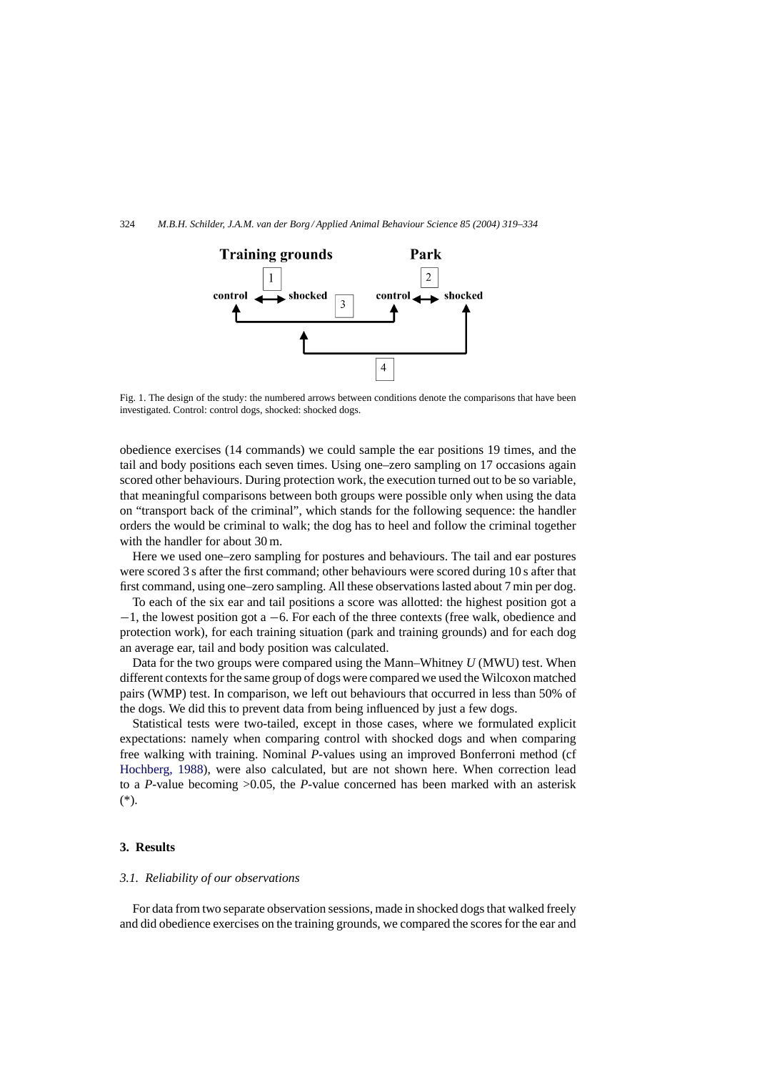<span id="page-5-0"></span>

Fig. 1. The design of the study: the numbered arrows between conditions denote the comparisons that have been investigated. Control: control dogs, shocked: shocked dogs.

obedience exercises (14 commands) we could sample the ear positions 19 times, and the tail and body positions each seven times. Using one–zero sampling on 17 occasions again scored other behaviours. During protection work, the execution turned out to be so variable, that meaningful comparisons between both groups were possible only when using the data on "transport back of the criminal", which stands for the following sequence: the handler orders the would be criminal to walk; the dog has to heel and follow the criminal together with the handler for about 30 m.

Here we used one–zero sampling for postures and behaviours. The tail and ear postures were scored 3 s after the first command; other behaviours were scored during 10 s after that first command, using one–zero sampling. All these observations lasted about 7 min per dog.

To each of the six ear and tail positions a score was allotted: the highest position got a −1, the lowest position got a −6. For each of the three contexts (free walk, obedience and protection work), for each training situation (park and training grounds) and for each dog an average ear, tail and body position was calculated.

Data for the two groups were compared using the Mann–Whitney *U* (MWU) test. When different contexts for the same group of dogs were compared we used the Wilcoxon matched pairs (WMP) test. In comparison, we left out behaviours that occurred in less than 50% of the dogs. We did this to prevent data from being influenced by just a few dogs.

Statistical tests were two-tailed, except in those cases, where we formulated explicit expectations: namely when comparing control with shocked dogs and when comparing free walking with training. Nominal *P*-values using an improved Bonferroni method (cf [Hochberg, 1988\)](#page-15-0), were also calculated, but are not shown here. When correction lead to a *P*-value becoming >0.05, the *P*-value concerned has been marked with an asterisk (\*).

# **3. Results**

## *3.1. Reliability of our observations*

For data from two separate observation sessions, made in shocked dogs that walked freely and did obedience exercises on the training grounds, we compared the scores for the ear and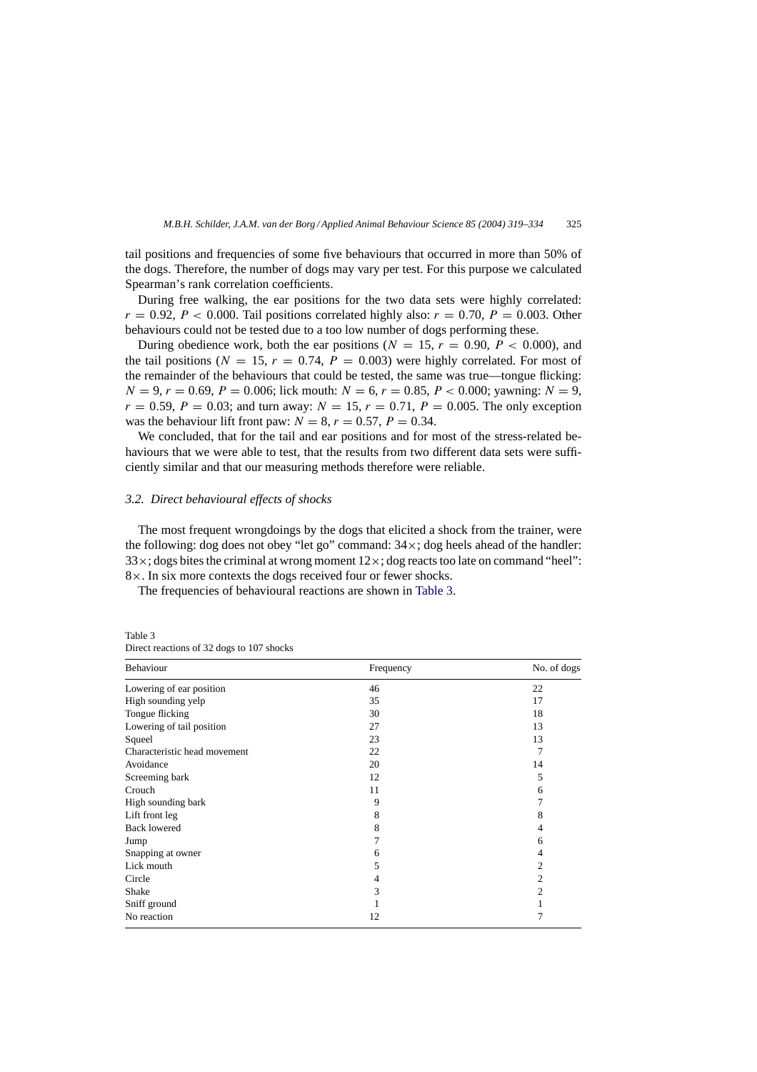<span id="page-6-0"></span>tail positions and frequencies of some five behaviours that occurred in more than 50% of the dogs. Therefore, the number of dogs may vary per test. For this purpose we calculated Spearman's rank correlation coefficients.

During free walking, the ear positions for the two data sets were highly correlated:  $r = 0.92$ ,  $P < 0.000$ . Tail positions correlated highly also:  $r = 0.70$ ,  $P = 0.003$ . Other behaviours could not be tested due to a too low number of dogs performing these.

During obedience work, both the ear positions ( $N = 15$ ,  $r = 0.90$ ,  $P < 0.000$ ), and the tail positions ( $N = 15$ ,  $r = 0.74$ ,  $P = 0.003$ ) were highly correlated. For most of the remainder of the behaviours that could be tested, the same was true—tongue flicking:  $N = 9$ ,  $r = 0.69$ ,  $P = 0.006$ ; lick mouth:  $N = 6$ ,  $r = 0.85$ ,  $P < 0.000$ ; yawning:  $N = 9$ ,  $r = 0.59$ ,  $P = 0.03$ ; and turn away:  $N = 15$ ,  $r = 0.71$ ,  $P = 0.005$ . The only exception was the behaviour lift front paw:  $N = 8$ ,  $r = 0.57$ ,  $P = 0.34$ .

We concluded, that for the tail and ear positions and for most of the stress-related behaviours that we were able to test, that the results from two different data sets were sufficiently similar and that our measuring methods therefore were reliable.

# *3.2. Direct behavioural effects of shocks*

The most frequent wrongdoings by the dogs that elicited a shock from the trainer, were the following: dog does not obey "let go" command:  $34 \times$ ; dog heels ahead of the handler:  $33\times$ ; dogs bites the criminal at wrong moment  $12\times$ ; dog reacts too late on command "heel": 8×. In six more contexts the dogs received four or fewer shocks.

The frequencies of behavioural reactions are shown in Table 3.

| Behaviour                    | Frequency | No. of dogs |
|------------------------------|-----------|-------------|
| Lowering of ear position     | 46        | 22          |
| High sounding yelp           | 35        | 17          |
| Tongue flicking              | 30        | 18          |
| Lowering of tail position    | 27        | 13          |
| Squeel                       | 23        | 13          |
| Characteristic head movement | 22        | 7           |
| Avoidance                    | 20        | 14          |
| Screeming bark               | 12        | 5           |
| Crouch                       | 11        | 6           |
| High sounding bark           | 9         |             |
| Lift front leg               | 8         | 8           |
| <b>Back lowered</b>          | 8         |             |
| Jump                         |           | 6           |
| Snapping at owner            | 6         | 4           |
| Lick mouth                   | 5         | 2           |
| Circle                       | 4         | 2           |
| Shake                        | 3         | 2           |
| Sniff ground                 |           |             |
| No reaction                  | 12        |             |

Table 3 Direct reactions of 32 dogs to 107 shocks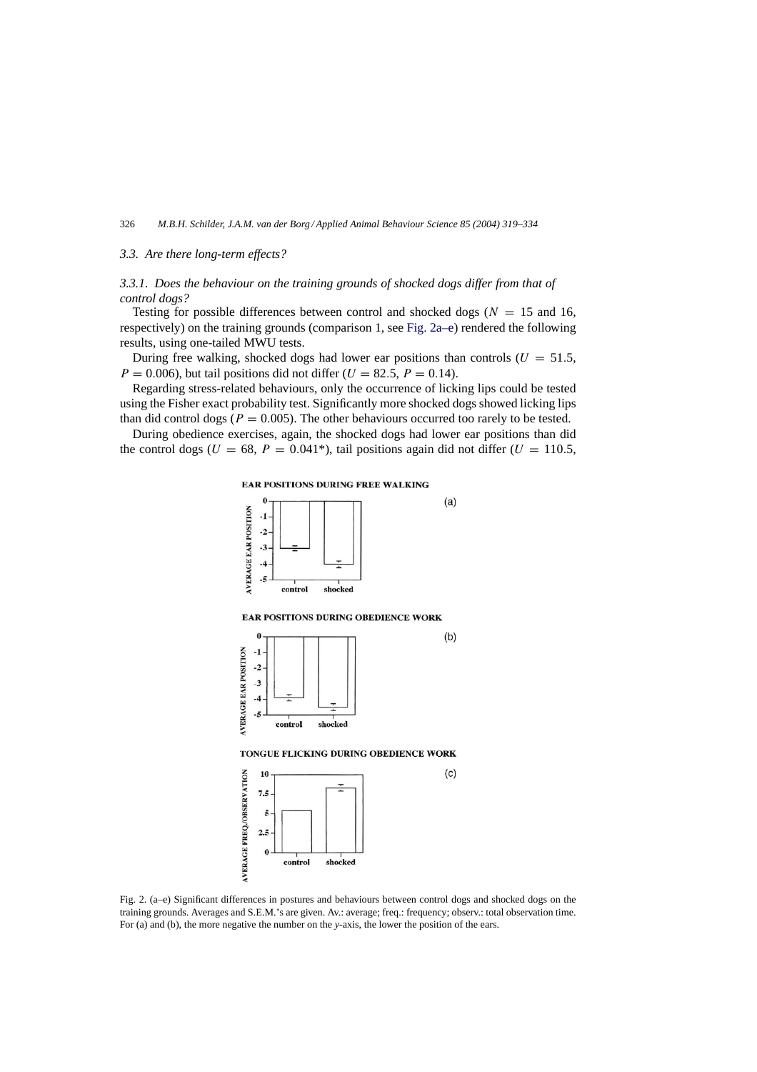# <span id="page-7-0"></span>*3.3. Are there long-term effects?*

*3.3.1. Does the behaviour on the training grounds of shocked dogs differ from that of control dogs?*

Testing for possible differences between control and shocked dogs ( $N = 15$  and 16, respectively) on the training grounds (comparison 1, see Fig. 2a–e) rendered the following results, using one-tailed MWU tests.

During free walking, shocked dogs had lower ear positions than controls ( $U = 51.5$ ,  $P = 0.006$ , but tail positions did not differ ( $U = 82.5$ ,  $P = 0.14$ ).

Regarding stress-related behaviours, only the occurrence of licking lips could be tested using the Fisher exact probability test. Significantly more shocked dogs showed licking lips than did control dogs ( $P = 0.005$ ). The other behaviours occurred too rarely to be tested.

During obedience exercises, again, the shocked dogs had lower ear positions than did the control dogs ( $U = 68$ ,  $P = 0.041$ <sup>\*</sup>), tail positions again did not differ ( $U = 110.5$ ,



Fig. 2. (a–e) Significant differences in postures and behaviours between control dogs and shocked dogs on the training grounds. Averages and S.E.M.'s are given. Av.: average; freq.: frequency; observ.: total observation time. For (a) and (b), the more negative the number on the *y*-axis, the lower the position of the ears.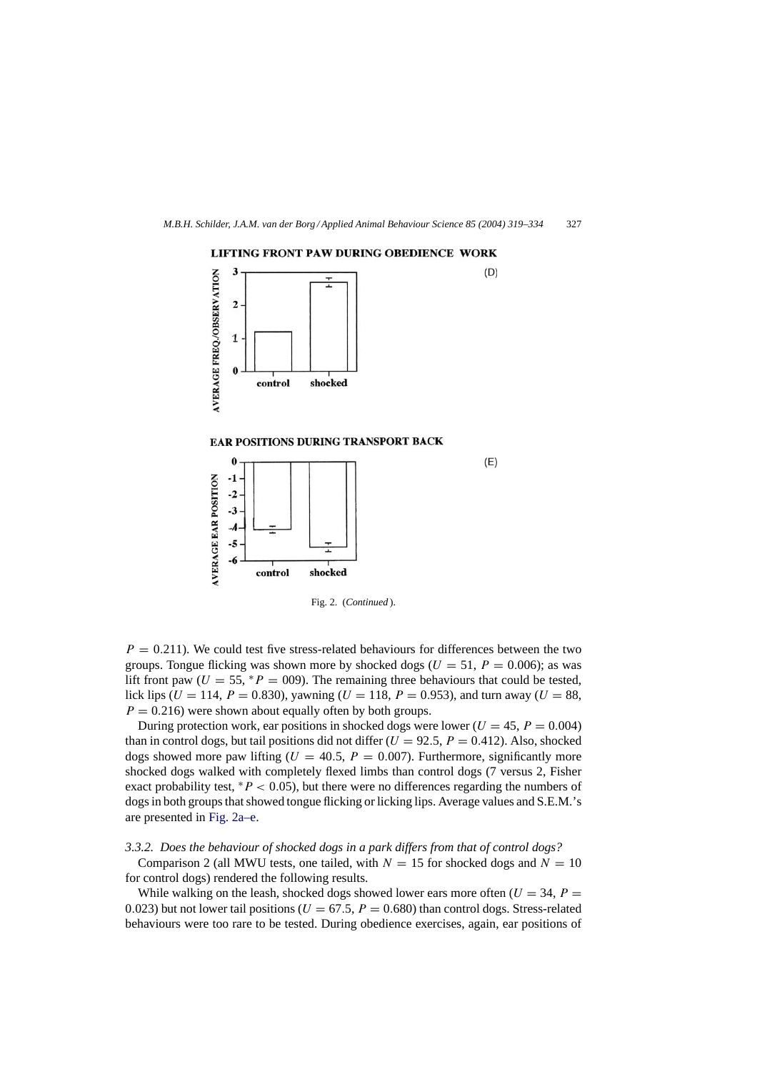<span id="page-8-0"></span>

Fig. 2. (*Continued* ).

 $P = 0.211$ ). We could test five stress-related behaviours for differences between the two groups. Tongue flicking was shown more by shocked dogs ( $U = 51$ ,  $P = 0.006$ ); as was lift front paw ( $U = 55$ , \* $P = 009$ ). The remaining three behaviours that could be tested, lick lips (U = 114, P = 0.830), yawning (U = 118, P = 0.953), and turn away (U = 88,  $P = 0.216$ ) were shown about equally often by both groups.

During protection work, ear positions in shocked dogs were lower ( $U = 45$ ,  $P = 0.004$ ) than in control dogs, but tail positions did not differ  $(U = 92.5, P = 0.412)$ . Also, shocked dogs showed more paw lifting  $(U = 40.5, P = 0.007)$ . Furthermore, significantly more shocked dogs walked with completely flexed limbs than control dogs (7 versus 2, Fisher exact probability test,  $*P < 0.05$ ), but there were no differences regarding the numbers of dogs in both groups that showed tongue flicking or licking lips. Average values and S.E.M.'s are presented in [Fig. 2a–e.](#page-7-0)

#### *3.3.2. Does the behaviour of shocked dogs in a park differs from that of control dogs?*

Comparison 2 (all MWU tests, one tailed, with  $N = 15$  for shocked dogs and  $N = 10$ for control dogs) rendered the following results.

While walking on the leash, shocked dogs showed lower ears more often  $(U = 34, P =$ 0.023) but not lower tail positions ( $U = 67.5$ ,  $P = 0.680$ ) than control dogs. Stress-related behaviours were too rare to be tested. During obedience exercises, again, ear positions of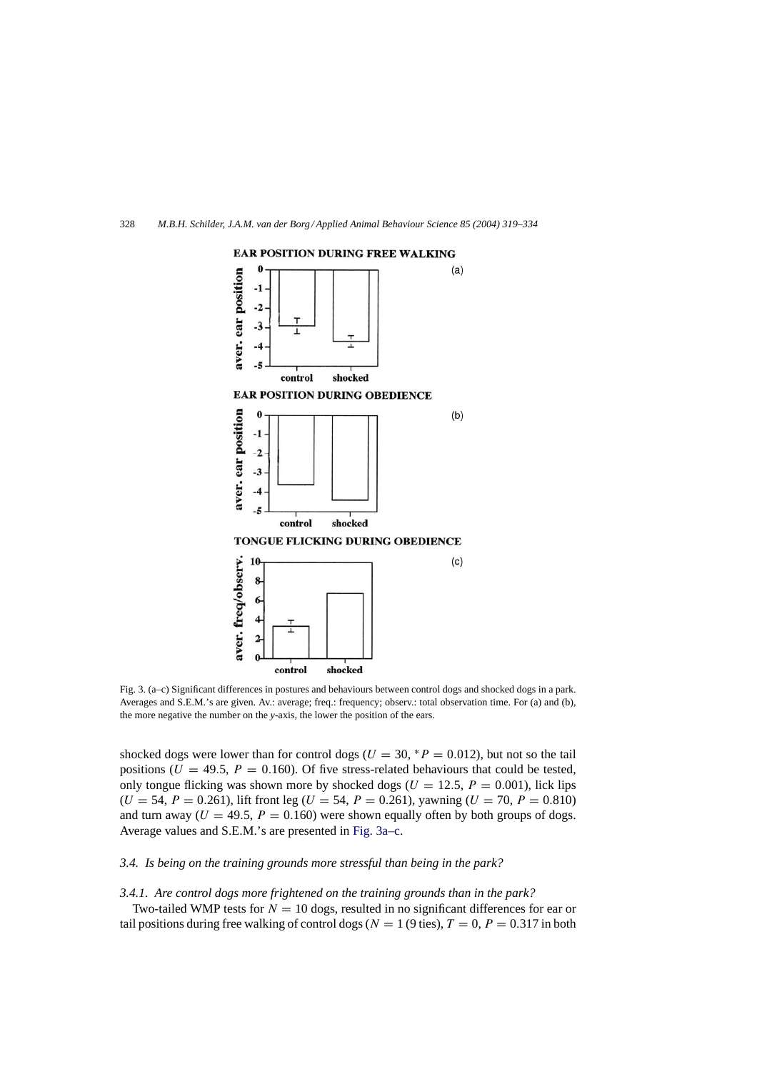

Fig. 3. (a–c) Significant differences in postures and behaviours between control dogs and shocked dogs in a park. Averages and S.E.M.'s are given. Av.: average; freq.: frequency; observ.: total observation time. For (a) and (b), the more negative the number on the *y*-axis, the lower the position of the ears.

shocked dogs were lower than for control dogs ( $U = 30, *P = 0.012$ ), but not so the tail positions ( $U = 49.5$ ,  $P = 0.160$ ). Of five stress-related behaviours that could be tested, only tongue flicking was shown more by shocked dogs ( $U = 12.5$ ,  $P = 0.001$ ), lick lips  $(U = 54, P = 0.261)$ , lift front leg  $(U = 54, P = 0.261)$ , yawning  $(U = 70, P = 0.810)$ and turn away ( $U = 49.5$ ,  $P = 0.160$ ) were shown equally often by both groups of dogs. Average values and S.E.M.'s are presented in Fig. 3a–c.

# *3.4. Is being on the training grounds more stressful than being in the park?*

# *3.4.1. Are control dogs more frightened on the training grounds than in the park?*

Two-tailed WMP tests for  $N = 10$  dogs, resulted in no significant differences for ear or tail positions during free walking of control dogs ( $N = 1$  (9 ties),  $T = 0$ ,  $P = 0.317$  in both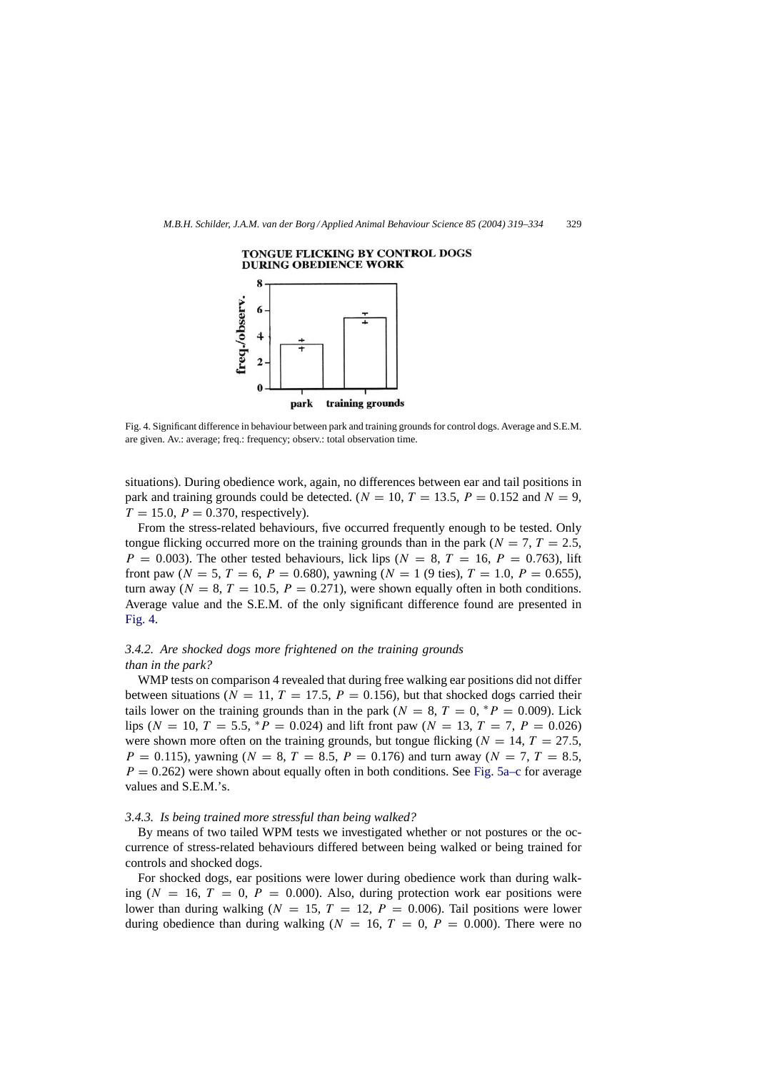

#### TONGUE FLICKING BY CONTROL DOGS **DURING OBEDIENCE WORK**

Fig. 4. Significant difference in behaviour between park and training grounds for control dogs. Average and S.E.M. are given. Av.: average; freq.: frequency; observ.: total observation time.

situations). During obedience work, again, no differences between ear and tail positions in park and training grounds could be detected. ( $N = 10$ ,  $T = 13.5$ ,  $P = 0.152$  and  $N = 9$ ,  $T = 15.0, P = 0.370$ , respectively).

From the stress-related behaviours, five occurred frequently enough to be tested. Only tongue flicking occurred more on the training grounds than in the park ( $N = 7$ ,  $T = 2.5$ ,  $P = 0.003$ . The other tested behaviours, lick lips ( $N = 8$ ,  $T = 16$ ,  $P = 0.763$ ), lift front paw ( $N = 5$ ,  $T = 6$ ,  $P = 0.680$ ), yawning ( $N = 1$  (9 ties),  $T = 1.0$ ,  $P = 0.655$ ), turn away ( $N = 8$ ,  $T = 10.5$ ,  $P = 0.271$ ), were shown equally often in both conditions. Average value and the S.E.M. of the only significant difference found are presented in Fig. 4.

# *3.4.2. Are shocked dogs more frightened on the training grounds than in the park?*

WMP tests on comparison 4 revealed that during free walking ear positions did not differ between situations ( $N = 11$ ,  $T = 17.5$ ,  $P = 0.156$ ), but that shocked dogs carried their tails lower on the training grounds than in the park ( $N = 8$ ,  $T = 0$ ,  ${}^*P = 0.009$ ). Lick lips ( $N = 10$ ,  $T = 5.5$ ,  ${}^*P = 0.024$ ) and lift front paw ( $N = 13$ ,  $T = 7$ ,  $P = 0.026$ ) were shown more often on the training grounds, but tongue flicking  $(N = 14, T = 27.5,$  $P = 0.115$ ), yawning ( $N = 8$ ,  $T = 8.5$ ,  $P = 0.176$ ) and turn away ( $N = 7$ ,  $T = 8.5$ ,  $P = 0.262$ ) were shown about equally often in both conditions. See [Fig. 5a–c](#page-11-0) for average values and S.E.M.'s.

# *3.4.3. Is being trained more stressful than being walked?*

By means of two tailed WPM tests we investigated whether or not postures or the occurrence of stress-related behaviours differed between being walked or being trained for controls and shocked dogs.

For shocked dogs, ear positions were lower during obedience work than during walking ( $N = 16$ ,  $T = 0$ ,  $P = 0.000$ ). Also, during protection work ear positions were lower than during walking ( $N = 15$ ,  $T = 12$ ,  $P = 0.006$ ). Tail positions were lower during obedience than during walking ( $N = 16$ ,  $T = 0$ ,  $P = 0.000$ ). There were no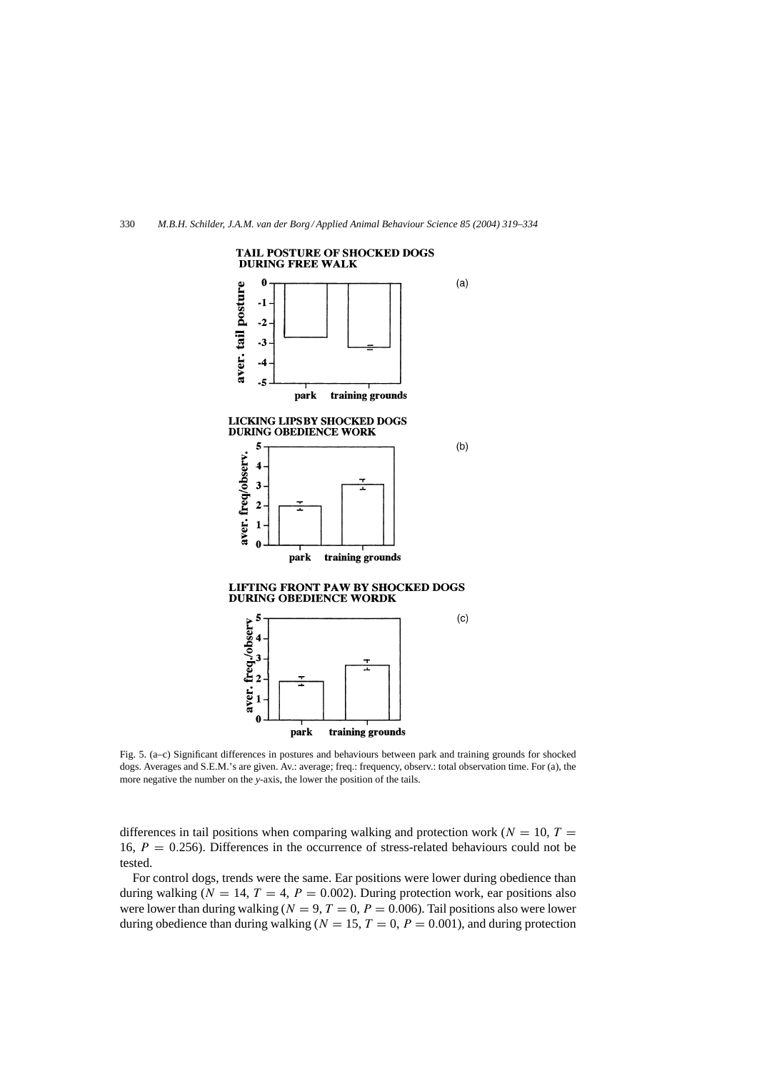<span id="page-11-0"></span>

Fig. 5. (a–c) Significant differences in postures and behaviours between park and training grounds for shocked dogs. Averages and S.E.M.'s are given. Av.: average; freq.: frequency, observ.: total observation time. For (a), the more negative the number on the *y*-axis, the lower the position of the tails.

differences in tail positions when comparing walking and protection work ( $N = 10$ ,  $T =$ 16,  $P = 0.256$ ). Differences in the occurrence of stress-related behaviours could not be tested.

For control dogs, trends were the same. Ear positions were lower during obedience than during walking ( $N = 14$ ,  $T = 4$ ,  $P = 0.002$ ). During protection work, ear positions also were lower than during walking ( $N = 9$ ,  $T = 0$ ,  $P = 0.006$ ). Tail positions also were lower during obedience than during walking ( $N = 15$ ,  $T = 0$ ,  $P = 0.001$ ), and during protection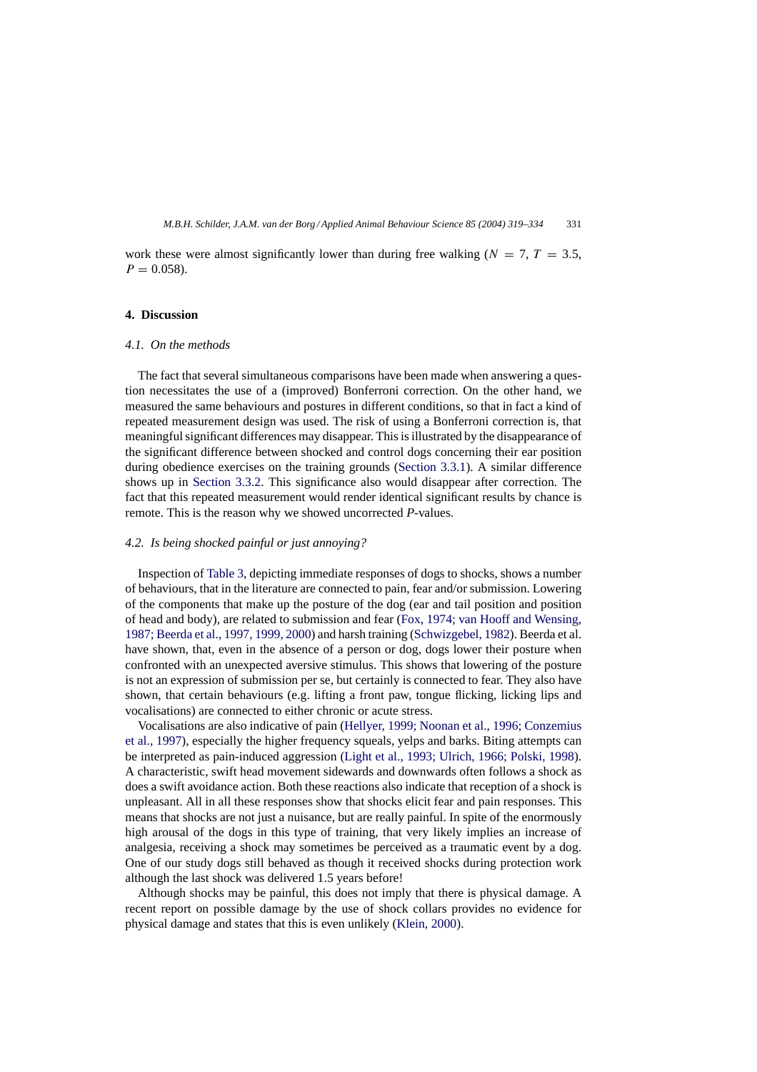work these were almost significantly lower than during free walking  $(N = 7, T = 3.5,$  $P = 0.058$ .

# **4. Discussion**

## *4.1. On the methods*

The fact that several simultaneous comparisons have been made when answering a question necessitates the use of a (improved) Bonferroni correction. On the other hand, we measured the same behaviours and postures in different conditions, so that in fact a kind of repeated measurement design was used. The risk of using a Bonferroni correction is, that meaningful significant differences may disappear. This is illustrated by the disappearance of the significant difference between shocked and control dogs concerning their ear position during obedience exercises on the training grounds [\(Section 3.3.1\).](#page-7-0) A similar difference shows up in [Section 3.3.2.](#page-8-0) This significance also would disappear after correction. The fact that this repeated measurement would render identical significant results by chance is remote. This is the reason why we showed uncorrected *P*-values.

# *4.2. Is being shocked painful or just annoying?*

Inspection of [Table 3, d](#page-6-0)epicting immediate responses of dogs to shocks, shows a number of behaviours, that in the literature are connected to pain, fear and/or submission. Lowering of the components that make up the posture of the dog (ear and tail position and position of head and body), are related to submission and fear [\(Fox, 1974; van Hooff and Wensing,](#page-15-0) [1987; Beerda et al., 1997, 1999, 2000\) a](#page-15-0)nd harsh training ([Schwizgebel, 1982\).](#page-15-0) Beerda et al. have shown, that, even in the absence of a person or dog, dogs lower their posture when confronted with an unexpected aversive stimulus. This shows that lowering of the posture is not an expression of submission per se, but certainly is connected to fear. They also have shown, that certain behaviours (e.g. lifting a front paw, tongue flicking, licking lips and vocalisations) are connected to either chronic or acute stress.

Vocalisations are also indicative of pain ([Hellyer, 1999; Noonan et al., 1996; Conzemius](#page-15-0) [et al., 1997\),](#page-15-0) especially the higher frequency squeals, yelps and barks. Biting attempts can be interpreted as pain-induced aggression ([Light et al., 1993; Ulrich, 1966; Polski, 1998\).](#page-15-0) A characteristic, swift head movement sidewards and downwards often follows a shock as does a swift avoidance action. Both these reactions also indicate that reception of a shock is unpleasant. All in all these responses show that shocks elicit fear and pain responses. This means that shocks are not just a nuisance, but are really painful. In spite of the enormously high arousal of the dogs in this type of training, that very likely implies an increase of analgesia, receiving a shock may sometimes be perceived as a traumatic event by a dog. One of our study dogs still behaved as though it received shocks during protection work although the last shock was delivered 1.5 years before!

Although shocks may be painful, this does not imply that there is physical damage. A recent report on possible damage by the use of shock collars provides no evidence for physical damage and states that this is even unlikely ([Klein, 2000\).](#page-15-0)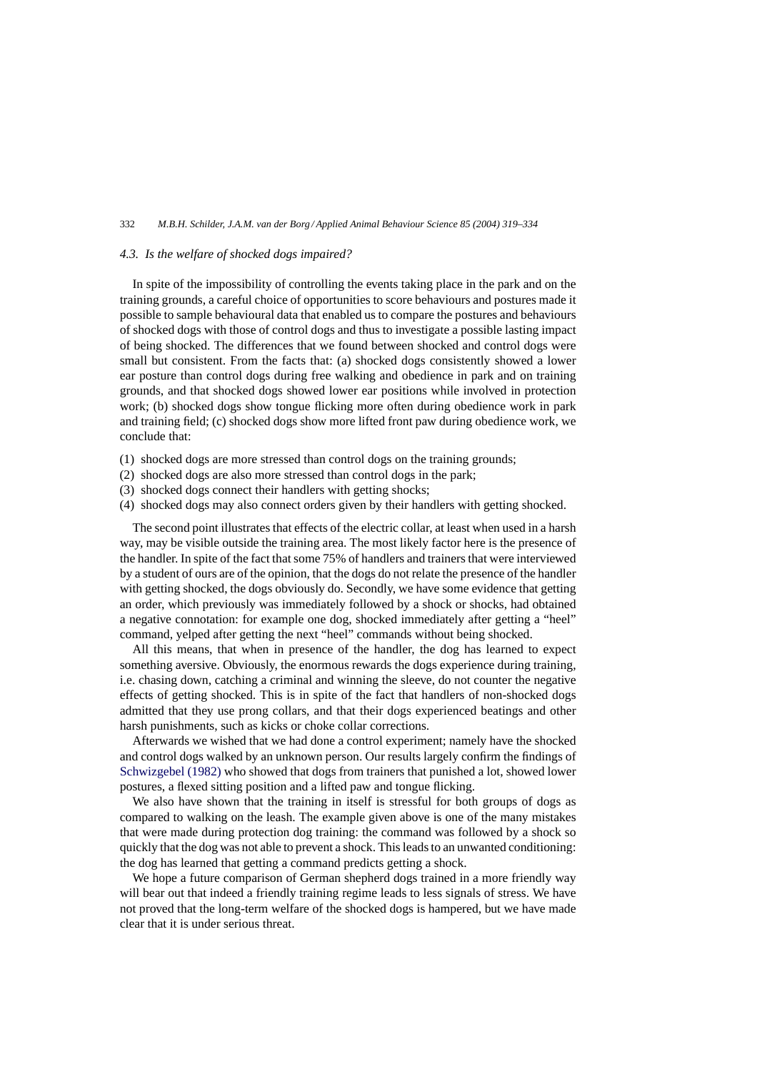# *4.3. Is the welfare of shocked dogs impaired?*

In spite of the impossibility of controlling the events taking place in the park and on the training grounds, a careful choice of opportunities to score behaviours and postures made it possible to sample behavioural data that enabled us to compare the postures and behaviours of shocked dogs with those of control dogs and thus to investigate a possible lasting impact of being shocked. The differences that we found between shocked and control dogs were small but consistent. From the facts that: (a) shocked dogs consistently showed a lower ear posture than control dogs during free walking and obedience in park and on training grounds, and that shocked dogs showed lower ear positions while involved in protection work; (b) shocked dogs show tongue flicking more often during obedience work in park and training field; (c) shocked dogs show more lifted front paw during obedience work, we conclude that:

- (1) shocked dogs are more stressed than control dogs on the training grounds;
- (2) shocked dogs are also more stressed than control dogs in the park;
- (3) shocked dogs connect their handlers with getting shocks;
- (4) shocked dogs may also connect orders given by their handlers with getting shocked.

The second point illustrates that effects of the electric collar, at least when used in a harsh way, may be visible outside the training area. The most likely factor here is the presence of the handler. In spite of the fact that some 75% of handlers and trainers that were interviewed by a student of ours are of the opinion, that the dogs do not relate the presence of the handler with getting shocked, the dogs obviously do. Secondly, we have some evidence that getting an order, which previously was immediately followed by a shock or shocks, had obtained a negative connotation: for example one dog, shocked immediately after getting a "heel" command, yelped after getting the next "heel" commands without being shocked.

All this means, that when in presence of the handler, the dog has learned to expect something aversive. Obviously, the enormous rewards the dogs experience during training, i.e. chasing down, catching a criminal and winning the sleeve, do not counter the negative effects of getting shocked. This is in spite of the fact that handlers of non-shocked dogs admitted that they use prong collars, and that their dogs experienced beatings and other harsh punishments, such as kicks or choke collar corrections.

Afterwards we wished that we had done a control experiment; namely have the shocked and control dogs walked by an unknown person. Our results largely confirm the findings of [Schwizgebel \(1982\)](#page-15-0) who showed that dogs from trainers that punished a lot, showed lower postures, a flexed sitting position and a lifted paw and tongue flicking.

We also have shown that the training in itself is stressful for both groups of dogs as compared to walking on the leash. The example given above is one of the many mistakes that were made during protection dog training: the command was followed by a shock so quickly that the dog was not able to prevent a shock. This leads to an unwanted conditioning: the dog has learned that getting a command predicts getting a shock.

We hope a future comparison of German shepherd dogs trained in a more friendly way will bear out that indeed a friendly training regime leads to less signals of stress. We have not proved that the long-term welfare of the shocked dogs is hampered, but we have made clear that it is under serious threat.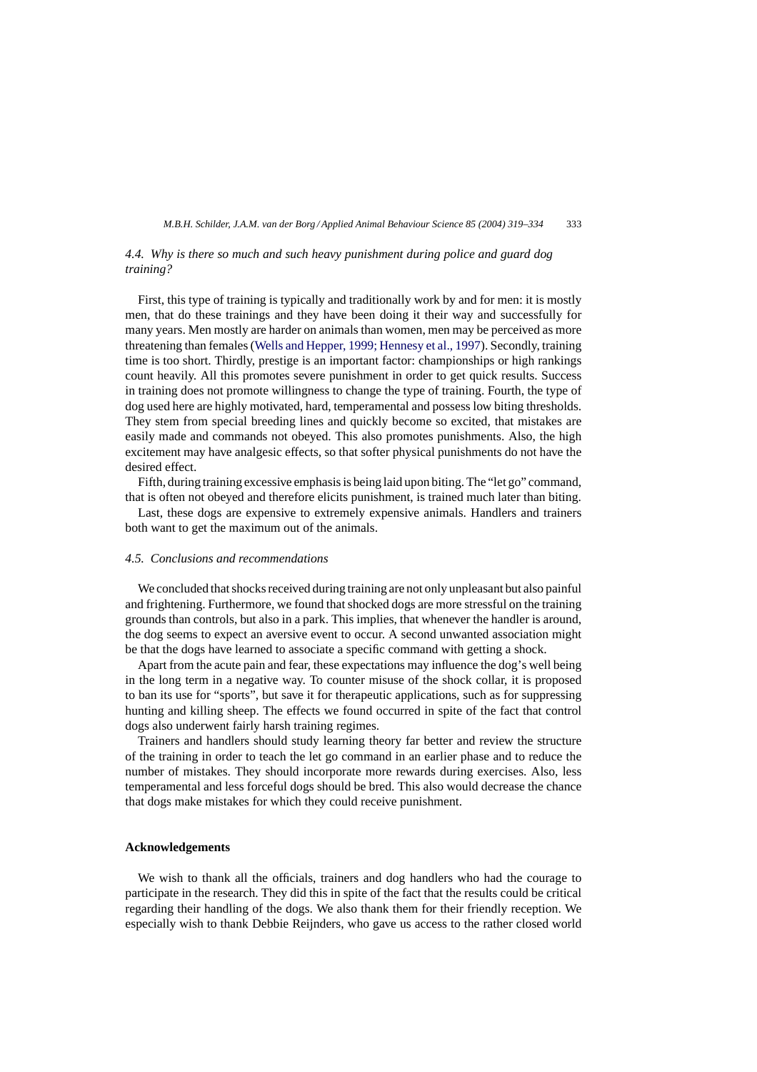# *4.4. Why is there so much and such heavy punishment during police and guard dog training?*

First, this type of training is typically and traditionally work by and for men: it is mostly men, that do these trainings and they have been doing it their way and successfully for many years. Men mostly are harder on animals than women, men may be perceived as more threatening than females [\(Wells and Hepper, 1999; Hennesy et al., 1997\). S](#page-15-0)econdly, training time is too short. Thirdly, prestige is an important factor: championships or high rankings count heavily. All this promotes severe punishment in order to get quick results. Success in training does not promote willingness to change the type of training. Fourth, the type of dog used here are highly motivated, hard, temperamental and possess low biting thresholds. They stem from special breeding lines and quickly become so excited, that mistakes are easily made and commands not obeyed. This also promotes punishments. Also, the high excitement may have analgesic effects, so that softer physical punishments do not have the desired effect.

Fifth, during training excessive emphasis is being laid upon biting. The "let go" command, that is often not obeyed and therefore elicits punishment, is trained much later than biting.

Last, these dogs are expensive to extremely expensive animals. Handlers and trainers both want to get the maximum out of the animals.

# *4.5. Conclusions and recommendations*

We concluded that shocks received during training are not only unpleasant but also painful and frightening. Furthermore, we found that shocked dogs are more stressful on the training grounds than controls, but also in a park. This implies, that whenever the handler is around, the dog seems to expect an aversive event to occur. A second unwanted association might be that the dogs have learned to associate a specific command with getting a shock.

Apart from the acute pain and fear, these expectations may influence the dog's well being in the long term in a negative way. To counter misuse of the shock collar, it is proposed to ban its use for "sports", but save it for therapeutic applications, such as for suppressing hunting and killing sheep. The effects we found occurred in spite of the fact that control dogs also underwent fairly harsh training regimes.

Trainers and handlers should study learning theory far better and review the structure of the training in order to teach the let go command in an earlier phase and to reduce the number of mistakes. They should incorporate more rewards during exercises. Also, less temperamental and less forceful dogs should be bred. This also would decrease the chance that dogs make mistakes for which they could receive punishment.

# **Acknowledgements**

We wish to thank all the officials, trainers and dog handlers who had the courage to participate in the research. They did this in spite of the fact that the results could be critical regarding their handling of the dogs. We also thank them for their friendly reception. We especially wish to thank Debbie Reijnders, who gave us access to the rather closed world